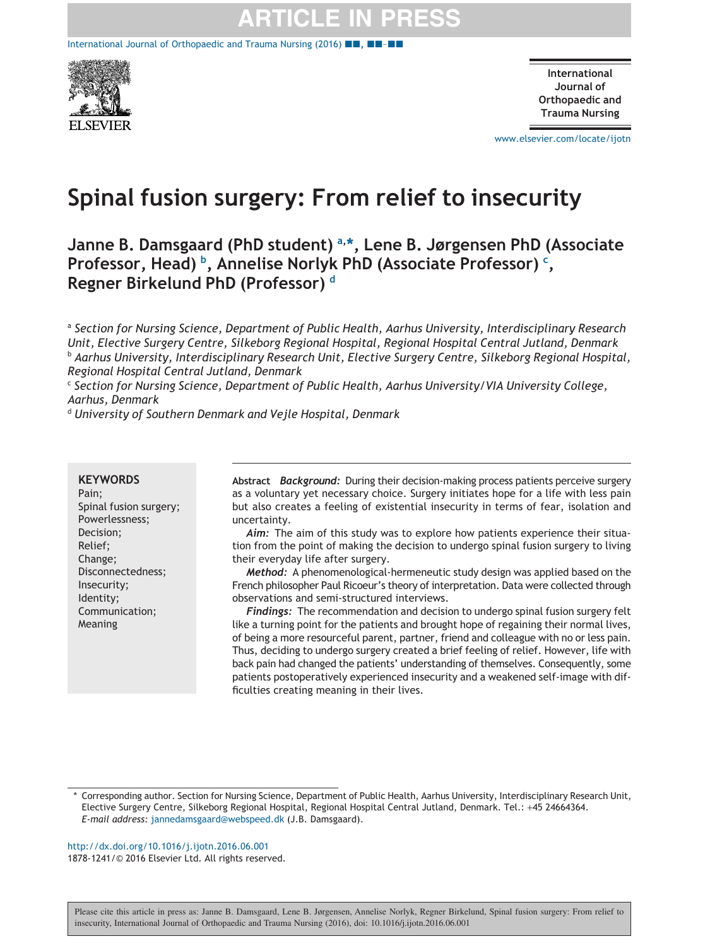## **ATICLE IN**

International Journal of Orthopaedic and Trauma Nursing (2016) ■■**,** ■■–■■



**International Journal of Orthopaedic and Trauma Nursing**

[www.elsevier.com/locate/ijotn](http://www.elsevier.com/locate/IJOTN)

## **Spinal fusion surgery: From relief to insecurity**

**Janne B. Damsgaard (PhD student) [a,](#page-0-0) [\\*,](#page-0-1) Lene B. Jørgensen PhD (Associate Professor, Head) [b](#page-0-2) , Annelise Norlyk PhD (Associate Professor) [c](#page-0-3) , Regner Birkelund PhD (Professor) [d](#page-0-4)**

<span id="page-0-2"></span><span id="page-0-0"></span><sup>a</sup> *Section for Nursing Science, Department of Public Health, Aarhus University, Interdisciplinary Research Unit, Elective Surgery Centre, Silkeborg Regional Hospital, Regional Hospital Central Jutland, Denmark* <sup>b</sup> *Aarhus University, Interdisciplinary Research Unit, Elective Surgery Centre, Silkeborg Regional Hospital, Regional Hospital Central Jutland, Denmark*

<span id="page-0-3"></span><sup>c</sup> *Section for Nursing Science, Department of Public Health, Aarhus University/VIA University College, Aarhus, Denmark*

<span id="page-0-4"></span><sup>d</sup> *University of Southern Denmark and Vejle Hospital, Denmark*

#### **KEYWORDS**

Pain; Spinal fusion surgery; Powerlessness; Decision; Relief; Change; Disconnectedness; Insecurity; Identity; Communication; Meaning

**Abstract** *Background:* During their decision-making process patients perceive surgery as a voluntary yet necessary choice. Surgery initiates hope for a life with less pain but also creates a feeling of existential insecurity in terms of fear, isolation and uncertainty.

*Aim:* The aim of this study was to explore how patients experience their situation from the point of making the decision to undergo spinal fusion surgery to living their everyday life after surgery.

*Method:* A phenomenological-hermeneutic study design was applied based on the French philosopher Paul Ricoeur's theory of interpretation. Data were collected through observations and semi-structured interviews.

*Findings:* The recommendation and decision to undergo spinal fusion surgery felt like a turning point for the patients and brought hope of regaining their normal lives, of being a more resourceful parent, partner, friend and colleague with no or less pain. Thus, deciding to undergo surgery created a brief feeling of relief. However, life with back pain had changed the patients' understanding of themselves. Consequently, some patients postoperatively experienced insecurity and a weakened self-image with difficulties creating meaning in their lives.

<span id="page-0-1"></span>\* Corresponding author. Section for Nursing Science, Department of Public Health, Aarhus University, Interdisciplinary Research Unit, Elective Surgery Centre, Silkeborg Regional Hospital, Regional Hospital Central Jutland, Denmark. Tel.: +45 24664364. *E-mail address:* [jannedamsgaard@webspeed.dk](mailto:jannedamsgaard@webspeed.dk) (J.B. Damsgaard).

http://dx.doi.org/10.1016/j.ijotn.2016.06.001 1878-1241/© 2016 Elsevier Ltd. All rights reserved.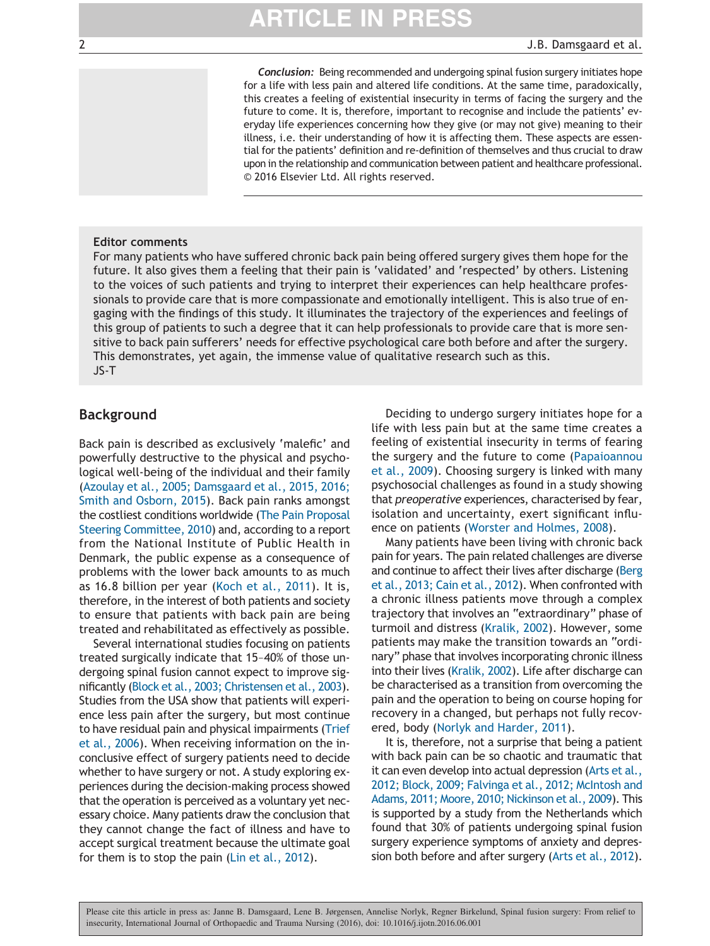## **ARTICLE IN PRES**

*Conclusion:* Being recommended and undergoing spinal fusion surgery initiates hope for a life with less pain and altered life conditions. At the same time, paradoxically, this creates a feeling of existential insecurity in terms of facing the surgery and the future to come. It is, therefore, important to recognise and include the patients' everyday life experiences concerning how they give (or may not give) meaning to their illness, i.e. their understanding of how it is affecting them. These aspects are essential for the patients' definition and re-definition of themselves and thus crucial to draw upon in the relationship and communication between patient and healthcare professional. © 2016 Elsevier Ltd. All rights reserved.

#### **Editor comments**

For many patients who have suffered chronic back pain being offered surgery gives them hope for the future. It also gives them a feeling that their pain is 'validated' and 'respected' by others. Listening to the voices of such patients and trying to interpret their experiences can help healthcare professionals to provide care that is more compassionate and emotionally intelligent. This is also true of engaging with the findings of this study. It illuminates the trajectory of the experiences and feelings of this group of patients to such a degree that it can help professionals to provide care that is more sensitive to back pain sufferers' needs for effective psychological care both before and after the surgery. This demonstrates, yet again, the immense value of qualitative research such as this. JS-T

#### **Background**

Back pain is described as exclusively 'malefic' and powerfully destructive to the physical and psychological well-being of the individual and their family [\(Azoulay et al., 2005; Damsgaard et al., 2015, 2016;](#page-7-0) [Smith and Osborn, 2015\)](#page-7-0). Back pain ranks amongst the costliest conditions worldwide [\(The Pain Proposal](#page-8-0) [Steering Committee, 2010\)](#page-8-0) and, according to a report from the National Institute of Public Health in Denmark, the public expense as a consequence of problems with the lower back amounts to as much as 16.8 billion per year [\(Koch et al., 2011\)](#page-8-1). It is, therefore, in the interest of both patients and society to ensure that patients with back pain are being treated and rehabilitated as effectively as possible.

Several international studies focusing on patients treated surgically indicate that 15–40% of those undergoing spinal fusion cannot expect to improve significantly [\(Block et al., 2003; Christensen et al., 2003\)](#page-7-1). Studies from the USA show that patients will experience less pain after the surgery, but most continue to have residual pain and physical impairments [\(Trief](#page-8-2) [et al., 2006\)](#page-8-2). When receiving information on the inconclusive effect of surgery patients need to decide whether to have surgery or not. A study exploring experiences during the decision-making process showed that the operation is perceived as a voluntary yet necessary choice. Many patients draw the conclusion that they cannot change the fact of illness and have to accept surgical treatment because the ultimate goal for them is to stop the pain [\(Lin et al., 2012\)](#page-8-3).

Deciding to undergo surgery initiates hope for a life with less pain but at the same time creates a feeling of existential insecurity in terms of fearing the surgery and the future to come [\(Papaioannou](#page-8-4) [et al., 2009\)](#page-8-4). Choosing surgery is linked with many psychosocial challenges as found in a study showing that *preoperative* experiences, characterised by fear, isolation and uncertainty, exert significant influence on patients [\(Worster and Holmes, 2008\)](#page-8-5).

Many patients have been living with chronic back pain for years. The pain related challenges are diverse and continue to affect their lives after discharge [\(Berg](#page-7-2) [et al., 2013; Cain et al., 2012\)](#page-7-2). When confronted with a chronic illness patients move through a complex trajectory that involves an "extraordinary" phase of turmoil and distress [\(Kralik, 2002\)](#page-8-6). However, some patients may make the transition towards an "ordinary" phase that involves incorporating chronic illness into their lives [\(Kralik, 2002\)](#page-8-6). Life after discharge can be characterised as a transition from overcoming the pain and the operation to being on course hoping for recovery in a changed, but perhaps not fully recovered, body [\(Norlyk and Harder, 2011\)](#page-8-7).

It is, therefore, not a surprise that being a patient with back pain can be so chaotic and traumatic that it can even develop into actual depression [\(Arts et al.,](#page-7-3) [2012; Block, 2009; Falvinga et al., 2012; McIntosh and](#page-7-3) [Adams, 2011; Moore, 2010; Nickinson et al., 2009\)](#page-7-3). This is supported by a study from the Netherlands which found that 30% of patients undergoing spinal fusion surgery experience symptoms of anxiety and depression both before and after surgery [\(Arts et al., 2012\)](#page-7-3).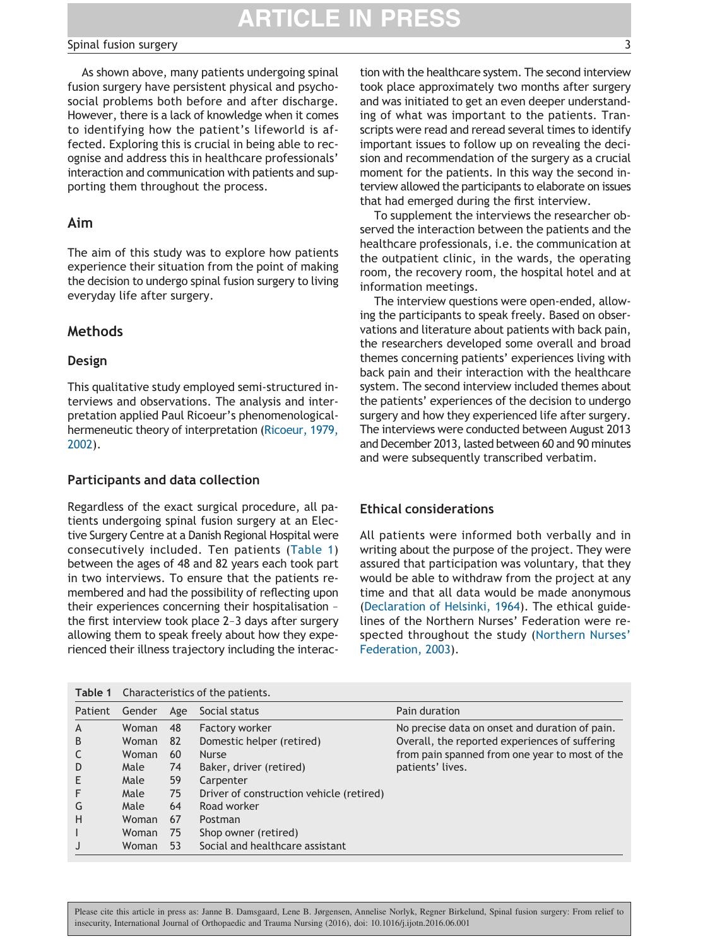# **ARTICLE IN PRESS**

#### Spinal fusion surgery 3

As shown above, many patients undergoing spinal fusion surgery have persistent physical and psychosocial problems both before and after discharge. However, there is a lack of knowledge when it comes to identifying how the patient's lifeworld is affected. Exploring this is crucial in being able to recognise and address this in healthcare professionals' interaction and communication with patients and supporting them throughout the process.

#### **Aim**

The aim of this study was to explore how patients experience their situation from the point of making the decision to undergo spinal fusion surgery to living everyday life after surgery.

### **Methods**

#### **Design**

This qualitative study employed semi-structured interviews and observations. The analysis and interpretation applied Paul Ricoeur's phenomenologicalhermeneutic theory of interpretation [\(Ricoeur, 1979,](#page-8-8) [2002\)](#page-8-8).

#### **Participants and data collection**

Regardless of the exact surgical procedure, all patients undergoing spinal fusion surgery at an Elective Surgery Centre at a Danish Regional Hospital were consecutively included. Ten patients (Table 1) between the ages of 48 and 82 years each took part in two interviews. To ensure that the patients remembered and had the possibility of reflecting upon their experiences concerning their hospitalisation – the first interview took place 2–3 days after surgery allowing them to speak freely about how they experienced their illness trajectory including the interaction with the healthcare system. The second interview took place approximately two months after surgery and was initiated to get an even deeper understanding of what was important to the patients. Transcripts were read and reread several times to identify important issues to follow up on revealing the decision and recommendation of the surgery as a crucial moment for the patients. In this way the second interview allowed the participants to elaborate on issues that had emerged during the first interview.

To supplement the interviews the researcher observed the interaction between the patients and the healthcare professionals, i.e. the communication at the outpatient clinic, in the wards, the operating room, the recovery room, the hospital hotel and at information meetings.

The interview questions were open-ended, allowing the participants to speak freely. Based on observations and literature about patients with back pain, the researchers developed some overall and broad themes concerning patients' experiences living with back pain and their interaction with the healthcare system. The second interview included themes about the patients' experiences of the decision to undergo surgery and how they experienced life after surgery. The interviews were conducted between August 2013 and December 2013, lasted between 60 and 90 minutes and were subsequently transcribed verbatim.

#### **Ethical considerations**

All patients were informed both verbally and in writing about the purpose of the project. They were assured that participation was voluntary, that they would be able to withdraw from the project at any time and that all data would be made anonymous [\(Declaration of Helsinki, 1964\)](#page-7-4). The ethical guidelines of the Northern Nurses' Federation were respected throughout the study [\(Northern Nurses'](#page-8-9) [Federation, 2003\)](#page-8-9).

| Table 1                                   | Characteristics of the patients.                                          |                                                    |                                                                                                                                                                                                   |                                                                                                                                                                        |  |
|-------------------------------------------|---------------------------------------------------------------------------|----------------------------------------------------|---------------------------------------------------------------------------------------------------------------------------------------------------------------------------------------------------|------------------------------------------------------------------------------------------------------------------------------------------------------------------------|--|
| Patient                                   | Gender                                                                    | Age                                                | Social status                                                                                                                                                                                     | Pain duration                                                                                                                                                          |  |
| A<br>B<br>C<br>D<br>E<br>F<br>G<br>H<br>ı | Woman<br>Woman<br>Woman<br>Male<br>Male<br>Male<br>Male<br>Woman<br>Woman | 48<br>82<br>60<br>74<br>59<br>75<br>64<br>67<br>75 | Factory worker<br>Domestic helper (retired)<br><b>Nurse</b><br>Baker, driver (retired)<br>Carpenter<br>Driver of construction vehicle (retired)<br>Road worker<br>Postman<br>Shop owner (retired) | No precise data on onset and duration of pain.<br>Overall, the reported experiences of suffering<br>from pain spanned from one year to most of the<br>patients' lives. |  |
|                                           | Woman                                                                     | 53                                                 | Social and healthcare assistant                                                                                                                                                                   |                                                                                                                                                                        |  |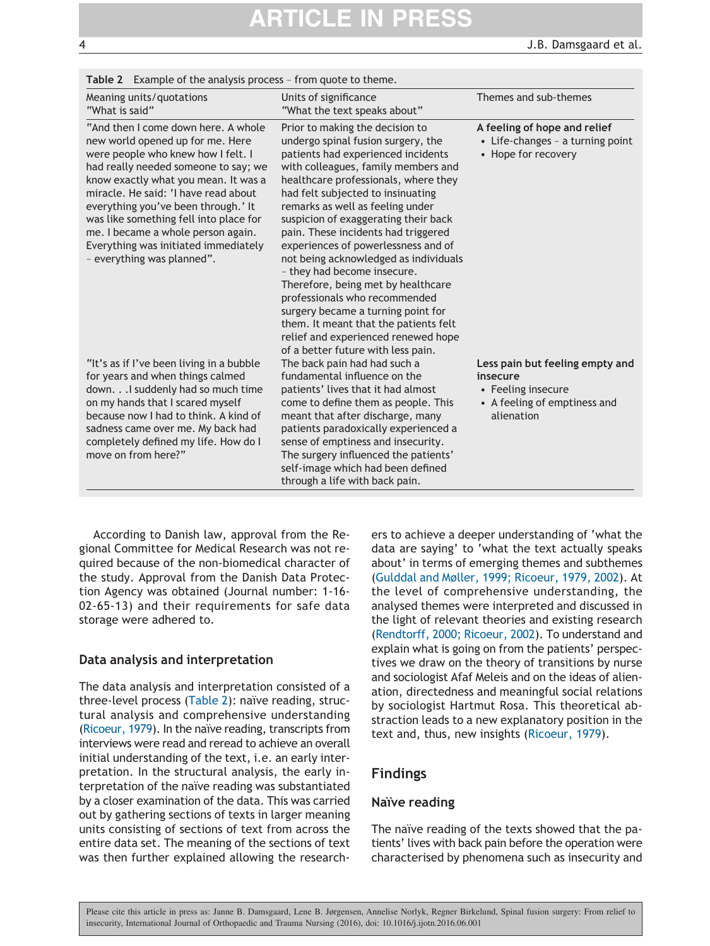| Meaning units/guotations<br>"What is said"                                                                                                                                                                                                                                                                                                                                                                                         | Units of significance<br>"What the text speaks about"                                                                                                                                                                                                                                                                                                                                                                                                                                                                                                                                                                                                                                                | Themes and sub-themes                                                                                           |
|------------------------------------------------------------------------------------------------------------------------------------------------------------------------------------------------------------------------------------------------------------------------------------------------------------------------------------------------------------------------------------------------------------------------------------|------------------------------------------------------------------------------------------------------------------------------------------------------------------------------------------------------------------------------------------------------------------------------------------------------------------------------------------------------------------------------------------------------------------------------------------------------------------------------------------------------------------------------------------------------------------------------------------------------------------------------------------------------------------------------------------------------|-----------------------------------------------------------------------------------------------------------------|
| "And then I come down here, A whole<br>new world opened up for me. Here<br>were people who knew how I felt. I<br>had really needed someone to say; we<br>know exactly what you mean. It was a<br>miracle. He said: 'I have read about<br>everything you've been through.' It<br>was like something fell into place for<br>me. I became a whole person again.<br>Everything was initiated immediately<br>- everything was planned". | Prior to making the decision to<br>undergo spinal fusion surgery, the<br>patients had experienced incidents<br>with colleagues, family members and<br>healthcare professionals, where they<br>had felt subjected to insinuating<br>remarks as well as feeling under<br>suspicion of exaggerating their back<br>pain. These incidents had triggered<br>experiences of powerlessness and of<br>not being acknowledged as individuals<br>- they had become insecure.<br>Therefore, being met by healthcare<br>professionals who recommended<br>surgery became a turning point for<br>them. It meant that the patients felt<br>relief and experienced renewed hope<br>of a better future with less pain. | A feeling of hope and relief<br>• Life-changes - a turning point<br>• Hope for recovery                         |
| "It's as if I've been living in a bubble<br>for years and when things calmed<br>down. I suddenly had so much time<br>on my hands that I scared myself<br>because now I had to think. A kind of<br>sadness came over me. My back had<br>completely defined my life. How do I<br>move on from here?"                                                                                                                                 | The back pain had had such a<br>fundamental influence on the<br>patients' lives that it had almost<br>come to define them as people. This<br>meant that after discharge, many<br>patients paradoxically experienced a<br>sense of emptiness and insecurity.<br>The surgery influenced the patients'<br>self-image which had been defined<br>through a life with back pain.                                                                                                                                                                                                                                                                                                                           | Less pain but feeling empty and<br>insecure<br>• Feeling insecure<br>• A feeling of emptiness and<br>alienation |

**Table 2** Example of the analysis process – from quote to theme.

According to Danish law, approval from the Regional Committee for Medical Research was not required because of the non-biomedical character of the study. Approval from the Danish Data Protection Agency was obtained (Journal number: 1-16- 02-65-13) and their requirements for safe data storage were adhered to.

#### **Data analysis and interpretation**

The data analysis and interpretation consisted of a three-level process (Table 2): naïve reading, structural analysis and comprehensive understanding [\(Ricoeur, 1979\)](#page-8-8). In the naïve reading, transcripts from interviews were read and reread to achieve an overall initial understanding of the text, i.e. an early interpretation. In the structural analysis, the early interpretation of the naïve reading was substantiated by a closer examination of the data. This was carried out by gathering sections of texts in larger meaning units consisting of sections of text from across the entire data set. The meaning of the sections of text was then further explained allowing the researchers to achieve a deeper understanding of 'what the data are saying' to 'what the text actually speaks about' in terms of emerging themes and subthemes [\(Gulddal and Møller, 1999; Ricoeur, 1979, 2002\)](#page-7-5). At the level of comprehensive understanding, the analysed themes were interpreted and discussed in the light of relevant theories and existing research [\(Rendtorff, 2000; Ricoeur, 2002\)](#page-8-10). To understand and explain what is going on from the patients' perspectives we draw on the theory of transitions by nurse and sociologist Afaf Meleis and on the ideas of alienation, directedness and meaningful social relations by sociologist Hartmut Rosa. This theoretical abstraction leads to a new explanatory position in the text and, thus, new insights [\(Ricoeur, 1979\)](#page-8-8).

### **Findings**

#### **Naïve reading**

The naïve reading of the texts showed that the patients' lives with back pain before the operation were characterised by phenomena such as insecurity and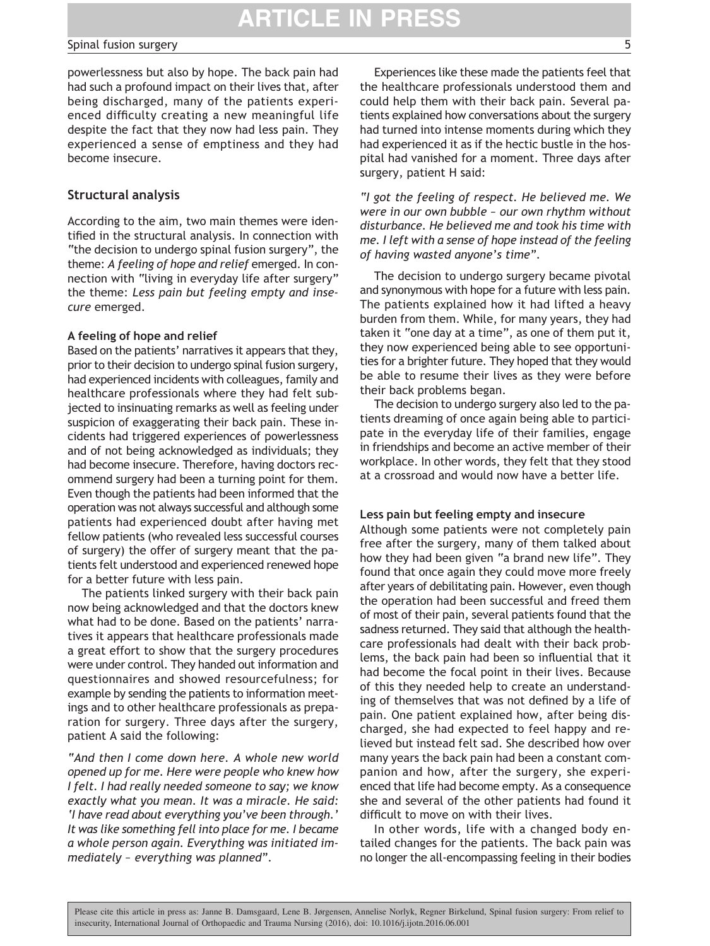## **ARTICLE IN PRESS**

#### Spinal fusion surgery 5

powerlessness but also by hope. The back pain had had such a profound impact on their lives that, after being discharged, many of the patients experienced difficulty creating a new meaningful life despite the fact that they now had less pain. They experienced a sense of emptiness and they had become insecure.

#### **Structural analysis**

According to the aim, two main themes were identified in the structural analysis. In connection with "the decision to undergo spinal fusion surgery", the theme: *A feeling of hope and relief* emerged. In connection with "living in everyday life after surgery" the theme: *Less pain but feeling empty and insecure* emerged.

#### **A feeling of hope and relief**

Based on the patients' narratives it appears that they, prior to their decision to undergo spinal fusion surgery, had experienced incidents with colleagues, family and healthcare professionals where they had felt subjected to insinuating remarks as well as feeling under suspicion of exaggerating their back pain. These incidents had triggered experiences of powerlessness and of not being acknowledged as individuals; they had become insecure. Therefore, having doctors recommend surgery had been a turning point for them. Even though the patients had been informed that the operation was not always successful and although some patients had experienced doubt after having met fellow patients (who revealed less successful courses of surgery) the offer of surgery meant that the patients felt understood and experienced renewed hope for a better future with less pain.

The patients linked surgery with their back pain now being acknowledged and that the doctors knew what had to be done. Based on the patients' narratives it appears that healthcare professionals made a great effort to show that the surgery procedures were under control. They handed out information and questionnaires and showed resourcefulness; for example by sending the patients to information meetings and to other healthcare professionals as preparation for surgery. Three days after the surgery, patient A said the following:

*"And then I come down here. A whole new world opened up for me. Here were people who knew how I felt. I had really needed someone to say; we know exactly what you mean. It was a miracle. He said: 'I have read about everything you've been through.' It was like something fell into place for me. I became a whole person again. Everything was initiated immediately – everything was planned".*

Experiences like these made the patients feel that the healthcare professionals understood them and could help them with their back pain. Several patients explained how conversations about the surgery had turned into intense moments during which they had experienced it as if the hectic bustle in the hospital had vanished for a moment. Three days after surgery, patient H said:

*"I got the feeling of respect. He believed me. We were in our own bubble – our own rhythm without disturbance. He believed me and took his time with me. I left with a sense of hope instead of the feeling of having wasted anyone's time".*

The decision to undergo surgery became pivotal and synonymous with hope for a future with less pain. The patients explained how it had lifted a heavy burden from them. While, for many years, they had taken it "one day at a time", as one of them put it, they now experienced being able to see opportunities for a brighter future. They hoped that they would be able to resume their lives as they were before their back problems began.

The decision to undergo surgery also led to the patients dreaming of once again being able to participate in the everyday life of their families, engage in friendships and become an active member of their workplace. In other words, they felt that they stood at a crossroad and would now have a better life.

#### **Less pain but feeling empty and insecure**

Although some patients were not completely pain free after the surgery, many of them talked about how they had been given "a brand new life". They found that once again they could move more freely after years of debilitating pain. However, even though the operation had been successful and freed them of most of their pain, several patients found that the sadness returned. They said that although the healthcare professionals had dealt with their back problems, the back pain had been so influential that it had become the focal point in their lives. Because of this they needed help to create an understanding of themselves that was not defined by a life of pain. One patient explained how, after being discharged, she had expected to feel happy and relieved but instead felt sad. She described how over many years the back pain had been a constant companion and how, after the surgery, she experienced that life had become empty. As a consequence she and several of the other patients had found it difficult to move on with their lives.

In other words, life with a changed body entailed changes for the patients. The back pain was no longer the all-encompassing feeling in their bodies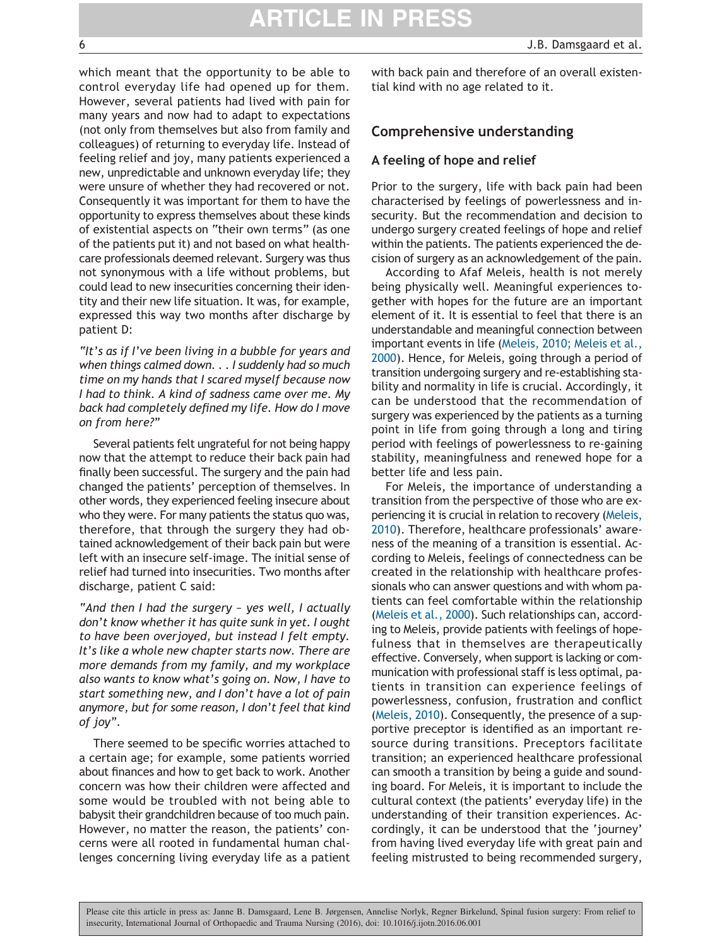which meant that the opportunity to be able to control everyday life had opened up for them. However, several patients had lived with pain for many years and now had to adapt to expectations (not only from themselves but also from family and colleagues) of returning to everyday life. Instead of feeling relief and joy, many patients experienced a new, unpredictable and unknown everyday life; they were unsure of whether they had recovered or not. Consequently it was important for them to have the opportunity to express themselves about these kinds of existential aspects on "their own terms" (as one of the patients put it) and not based on what healthcare professionals deemed relevant. Surgery was thus not synonymous with a life without problems, but could lead to new insecurities concerning their identity and their new life situation. It was, for example, expressed this way two months after discharge by patient D:

*"It's as if I've been living in a bubble for years and when things calmed down...I suddenly had so much time on my hands that I scared myself because now I had to think. A kind of sadness came over me. My back had completely defined my life. How do I move on from here?"*

Several patients felt ungrateful for not being happy now that the attempt to reduce their back pain had finally been successful. The surgery and the pain had changed the patients' perception of themselves. In other words, they experienced feeling insecure about who they were. For many patients the status quo was, therefore, that through the surgery they had obtained acknowledgement of their back pain but were left with an insecure self-image. The initial sense of relief had turned into insecurities. Two months after discharge, patient C said:

*"And then I had the surgery – yes well, I actually don't know whether it has quite sunk in yet. I ought to have been overjoyed, but instead I felt empty. It's like a whole new chapter starts now. There are more demands from my family, and my workplace also wants to know what's going on. Now, I have to start something new, and I don't have a lot of pain anymore, but for some reason, I don't feel that kind of joy".*

There seemed to be specific worries attached to a certain age; for example, some patients worried about finances and how to get back to work. Another concern was how their children were affected and some would be troubled with not being able to babysit their grandchildren because of too much pain. However, no matter the reason, the patients' concerns were all rooted in fundamental human challenges concerning living everyday life as a patient with back pain and therefore of an overall existential kind with no age related to it.

#### **Comprehensive understanding**

#### **A feeling of hope and relief**

Prior to the surgery, life with back pain had been characterised by feelings of powerlessness and insecurity. But the recommendation and decision to undergo surgery created feelings of hope and relief within the patients. The patients experienced the decision of surgery as an acknowledgement of the pain.

According to Afaf Meleis, health is not merely being physically well. Meaningful experiences together with hopes for the future are an important element of it. It is essential to feel that there is an understandable and meaningful connection between important events in life [\(Meleis, 2010; Meleis et al.,](#page-8-11) [2000\)](#page-8-11). Hence, for Meleis, going through a period of transition undergoing surgery and re-establishing stability and normality in life is crucial. Accordingly, it can be understood that the recommendation of surgery was experienced by the patients as a turning point in life from going through a long and tiring period with feelings of powerlessness to re-gaining stability, meaningfulness and renewed hope for a better life and less pain.

For Meleis, the importance of understanding a transition from the perspective of those who are experiencing it is crucial in relation to recovery [\(Meleis,](#page-8-11) [2010\)](#page-8-11). Therefore, healthcare professionals' awareness of the meaning of a transition is essential. According to Meleis, feelings of connectedness can be created in the relationship with healthcare professionals who can answer questions and with whom patients can feel comfortable within the relationship [\(Meleis et al., 2000\)](#page-8-12). Such relationships can, according to Meleis, provide patients with feelings of hopefulness that in themselves are therapeutically effective. Conversely, when support is lacking or communication with professional staff is less optimal, patients in transition can experience feelings of powerlessness, confusion, frustration and conflict [\(Meleis, 2010\)](#page-8-11). Consequently, the presence of a supportive preceptor is identified as an important resource during transitions. Preceptors facilitate transition; an experienced healthcare professional can smooth a transition by being a guide and sounding board. For Meleis, it is important to include the cultural context (the patients' everyday life) in the understanding of their transition experiences. Accordingly, it can be understood that the 'journey' from having lived everyday life with great pain and feeling mistrusted to being recommended surgery,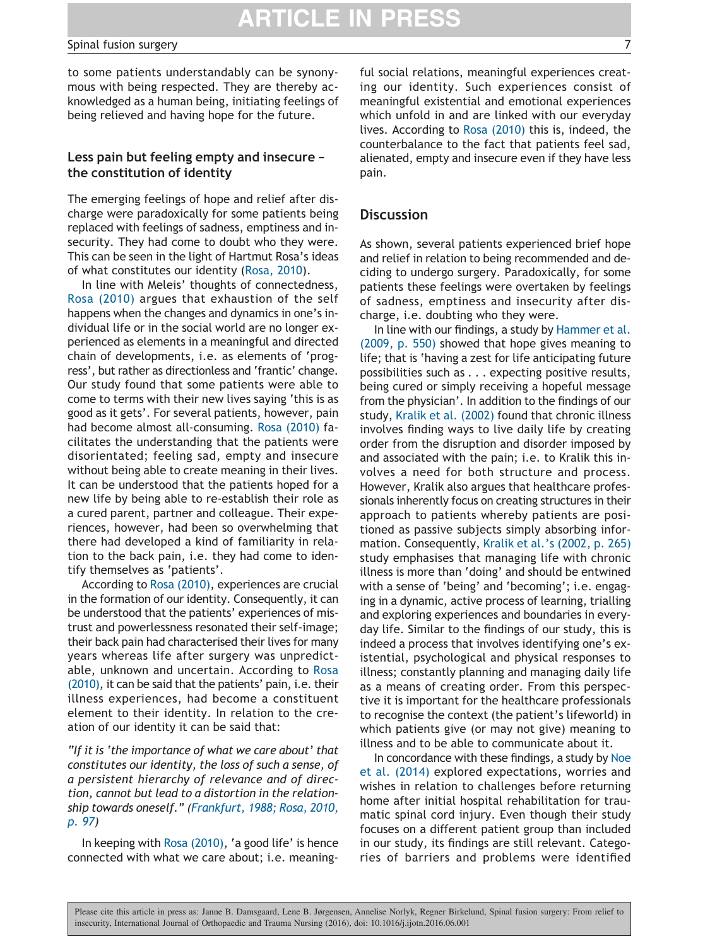# **ARTICLE IN PRESS**

#### Spinal fusion surgery 7

to some patients understandably can be synonymous with being respected. They are thereby acknowledged as a human being, initiating feelings of being relieved and having hope for the future.

#### **Less pain but feeling empty and insecure – the constitution of identity**

The emerging feelings of hope and relief after discharge were paradoxically for some patients being replaced with feelings of sadness, emptiness and insecurity. They had come to doubt who they were. This can be seen in the light of Hartmut Rosa's ideas of what constitutes our identity [\(Rosa, 2010\)](#page-8-13).

In line with Meleis' thoughts of connectedness, [Rosa \(2010\)](#page-8-13) argues that exhaustion of the self happens when the changes and dynamics in one's individual life or in the social world are no longer experienced as elements in a meaningful and directed chain of developments, i.e. as elements of 'progress', but rather as directionless and 'frantic' change. Our study found that some patients were able to come to terms with their new lives saying 'this is as good as it gets'. For several patients, however, pain had become almost all-consuming. [Rosa \(2010\)](#page-8-13) facilitates the understanding that the patients were disorientated; feeling sad, empty and insecure without being able to create meaning in their lives. It can be understood that the patients hoped for a new life by being able to re-establish their role as a cured parent, partner and colleague. Their experiences, however, had been so overwhelming that there had developed a kind of familiarity in relation to the back pain, i.e. they had come to identify themselves as 'patients'.

According to [Rosa \(2010\),](#page-8-13) experiences are crucial in the formation of our identity. Consequently, it can be understood that the patients' experiences of mistrust and powerlessness resonated their self-image; their back pain had characterised their lives for many years whereas life after surgery was unpredictable, unknown and uncertain. According to [Rosa](#page-8-13) [\(2010\),](#page-8-13) it can be said that the patients' pain, i.e. their illness experiences, had become a constituent element to their identity. In relation to the creation of our identity it can be said that:

*"If it is 'the importance of what we care about' that constitutes our identity, the loss of such a sense, of a persistent hierarchy of relevance and of direction, cannot but lead to a distortion in the relationship towards oneself." [\(Frankfurt, 1988; Rosa, 2010,](#page-7-6) [p. 97\)](#page-7-6)*

In keeping with [Rosa \(2010\),](#page-8-13) 'a good life' is hence connected with what we care about; i.e. meaningful social relations, meaningful experiences creating our identity. Such experiences consist of meaningful existential and emotional experiences which unfold in and are linked with our everyday lives. According to [Rosa \(2010\)](#page-8-13) this is, indeed, the counterbalance to the fact that patients feel sad, alienated, empty and insecure even if they have less

#### **Discussion**

pain.

As shown, several patients experienced brief hope and relief in relation to being recommended and deciding to undergo surgery. Paradoxically, for some patients these feelings were overtaken by feelings of sadness, emptiness and insecurity after discharge, i.e. doubting who they were.

In line with our findings, a study by [Hammer et al.](#page-8-14) [\(2009, p. 550\)](#page-8-14) showed that hope gives meaning to life; that is 'having a zest for life anticipating future possibilities such as... expecting positive results, being cured or simply receiving a hopeful message from the physician'. In addition to the findings of our study, [Kralik et al. \(2002\)](#page-8-15) found that chronic illness involves finding ways to live daily life by creating order from the disruption and disorder imposed by and associated with the pain; i.e. to Kralik this involves a need for both structure and process. However, Kralik also argues that healthcare professionals inherently focus on creating structures in their approach to patients whereby patients are positioned as passive subjects simply absorbing information. Consequently, [Kralik et al.'s \(2002, p. 265\)](#page-8-15) study emphasises that managing life with chronic illness is more than 'doing' and should be entwined with a sense of 'being' and 'becoming'; i.e. engaging in a dynamic, active process of learning, trialling and exploring experiences and boundaries in everyday life. Similar to the findings of our study, this is indeed a process that involves identifying one's existential, psychological and physical responses to illness; constantly planning and managing daily life as a means of creating order. From this perspective it is important for the healthcare professionals to recognise the context (the patient's lifeworld) in which patients give (or may not give) meaning to illness and to be able to communicate about it.

In concordance with these findings, a study by [Noe](#page-8-16) [et al. \(2014\)](#page-8-16) explored expectations, worries and wishes in relation to challenges before returning home after initial hospital rehabilitation for traumatic spinal cord injury. Even though their study focuses on a different patient group than included in our study, its findings are still relevant. Categories of barriers and problems were identified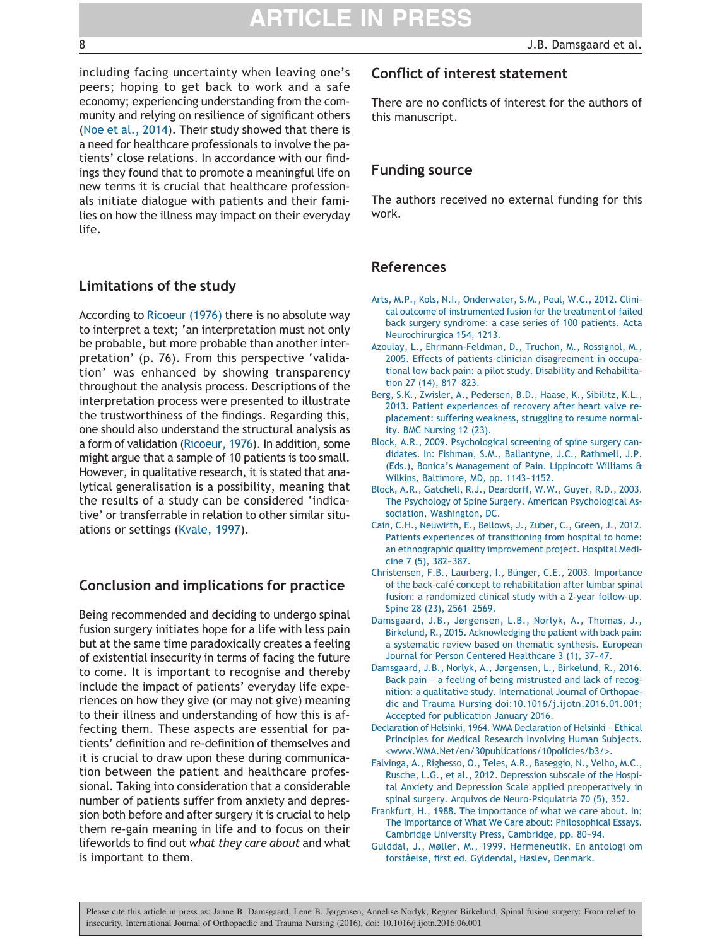including facing uncertainty when leaving one's peers; hoping to get back to work and a safe economy; experiencing understanding from the community and relying on resilience of significant others [\(Noe et al., 2014\)](#page-8-16). Their study showed that there is a need for healthcare professionals to involve the patients' close relations. In accordance with our findings they found that to promote a meaningful life on new terms it is crucial that healthcare professionals initiate dialogue with patients and their families on how the illness may impact on their everyday life.

### **Limitations of the study**

According to [Ricoeur \(1976\)](#page-8-17) there is no absolute way to interpret a text; 'an interpretation must not only be probable, but more probable than another interpretation' (p. 76). From this perspective 'validation' was enhanced by showing transparency throughout the analysis process. Descriptions of the interpretation process were presented to illustrate the trustworthiness of the findings. Regarding this, one should also understand the structural analysis as a form of validation [\(Ricoeur, 1976\)](#page-8-17). In addition, some might argue that a sample of 10 patients is too small. However, in qualitative research, it is stated that analytical generalisation is a possibility, meaning that the results of a study can be considered 'indicative' or transferrable in relation to other similar situations or settings [\(Kvale, 1997\)](#page-8-18).

### **Conclusion and implications for practice**

Being recommended and deciding to undergo spinal fusion surgery initiates hope for a life with less pain but at the same time paradoxically creates a feeling of existential insecurity in terms of facing the future to come. It is important to recognise and thereby include the impact of patients' everyday life experiences on how they give (or may not give) meaning to their illness and understanding of how this is affecting them. These aspects are essential for patients' definition and re-definition of themselves and it is crucial to draw upon these during communication between the patient and healthcare professional. Taking into consideration that a considerable number of patients suffer from anxiety and depression both before and after surgery it is crucial to help them re-gain meaning in life and to focus on their lifeworlds to find out *what they care about* and what is important to them.

#### **Conflict of interest statement**

There are no conflicts of interest for the authors of this manuscript.

### **Funding source**

The authors received no external funding for this work.

### **References**

- <span id="page-7-3"></span>[Arts, M.P., Kols, N.I., Onderwater, S.M., Peul, W.C., 2012. Clini](http://refhub.elsevier.com/S1878-1241(16)30060-0/sr0010)[cal outcome of instrumented fusion for the treatment of failed](http://refhub.elsevier.com/S1878-1241(16)30060-0/sr0010) [back surgery syndrome: a case series of 100 patients. Acta](http://refhub.elsevier.com/S1878-1241(16)30060-0/sr0010) [Neurochirurgica 154, 1213.](http://refhub.elsevier.com/S1878-1241(16)30060-0/sr0010)
- <span id="page-7-0"></span>[Azoulay, L., Ehrmann-Feldman, D., Truchon, M., Rossignol, M.,](http://refhub.elsevier.com/S1878-1241(16)30060-0/sr0015) [2005. Effects of patients-clinician disagreement in occupa](http://refhub.elsevier.com/S1878-1241(16)30060-0/sr0015)[tional low back pain: a pilot study. Disability and Rehabilita](http://refhub.elsevier.com/S1878-1241(16)30060-0/sr0015)[tion 27 \(14\), 817–823.](http://refhub.elsevier.com/S1878-1241(16)30060-0/sr0015)
- <span id="page-7-2"></span>[Berg, S.K., Zwisler, A., Pedersen, B.D., Haase, K., Sibilitz, K.L.,](http://refhub.elsevier.com/S1878-1241(16)30060-0/sr0020) [2013. Patient experiences of recovery after heart valve re](http://refhub.elsevier.com/S1878-1241(16)30060-0/sr0020)[placement: suffering weakness, struggling to resume normal](http://refhub.elsevier.com/S1878-1241(16)30060-0/sr0020)[ity. BMC Nursing 12 \(23\).](http://refhub.elsevier.com/S1878-1241(16)30060-0/sr0020)
- [Block, A.R., 2009. Psychological screening of spine surgery can](http://refhub.elsevier.com/S1878-1241(16)30060-0/sr0025)[didates. In: Fishman, S.M., Ballantyne, J.C., Rathmell, J.P.](http://refhub.elsevier.com/S1878-1241(16)30060-0/sr0025) [\(Eds.\), Bonica's Management of Pain. Lippincott Williams &](http://refhub.elsevier.com/S1878-1241(16)30060-0/sr0025) [Wilkins, Baltimore, MD, pp. 1143–1152.](http://refhub.elsevier.com/S1878-1241(16)30060-0/sr0025)
- <span id="page-7-1"></span>[Block, A.R., Gatchell, R.J., Deardorff, W.W., Guyer, R.D., 2003.](http://refhub.elsevier.com/S1878-1241(16)30060-0/sr0030) [The Psychology of Spine Surgery. American Psychological As](http://refhub.elsevier.com/S1878-1241(16)30060-0/sr0030)[sociation, Washington, DC.](http://refhub.elsevier.com/S1878-1241(16)30060-0/sr0030)
- [Cain, C.H., Neuwirth, E., Bellows, J., Zuber, C., Green, J., 2012.](http://refhub.elsevier.com/S1878-1241(16)30060-0/sr0035) [Patients experiences of transitioning from hospital to home:](http://refhub.elsevier.com/S1878-1241(16)30060-0/sr0035) [an ethnographic quality improvement project. Hospital Medi](http://refhub.elsevier.com/S1878-1241(16)30060-0/sr0035)[cine 7 \(5\), 382–387.](http://refhub.elsevier.com/S1878-1241(16)30060-0/sr0035)
- [Christensen, F.B., Laurberg, I., Bünger, C.E., 2003. Importance](http://refhub.elsevier.com/S1878-1241(16)30060-0/sr0040) [of the back-café concept to rehabilitation after lumbar spinal](http://refhub.elsevier.com/S1878-1241(16)30060-0/sr0040) [fusion: a randomized clinical study with a 2-year follow-up.](http://refhub.elsevier.com/S1878-1241(16)30060-0/sr0040) [Spine 28 \(23\), 2561–2569.](http://refhub.elsevier.com/S1878-1241(16)30060-0/sr0040)
- [Damsgaard, J.B., Jørgensen, L.B., Norlyk, A., Thomas, J.,](http://refhub.elsevier.com/S1878-1241(16)30060-0/sr0045) [Birkelund, R., 2015. Acknowledging the patient with back pain:](http://refhub.elsevier.com/S1878-1241(16)30060-0/sr0045) [a systematic review based on thematic synthesis. European](http://refhub.elsevier.com/S1878-1241(16)30060-0/sr0045) [Journal for Person Centered Healthcare 3 \(1\), 37–47.](http://refhub.elsevier.com/S1878-1241(16)30060-0/sr0045)
- [Damsgaard, J.B., Norlyk, A., Jørgensen, L., Birkelund, R., 2016.](http://refhub.elsevier.com/S1878-1241(16)30060-0/sr0050) Back pain – [a feeling of being mistrusted and lack of recog](http://refhub.elsevier.com/S1878-1241(16)30060-0/sr0050)[nition: a qualitative study. International Journal of Orthopae](http://refhub.elsevier.com/S1878-1241(16)30060-0/sr0050)[dic and Trauma Nursing doi:10.1016/j.ijotn.2016.01.001;](http://refhub.elsevier.com/S1878-1241(16)30060-0/sr0050) [Accepted for publication January 2016.](http://refhub.elsevier.com/S1878-1241(16)30060-0/sr0050)
- <span id="page-7-4"></span>[Declaration of Helsinki, 1964. WMA Declaration of Helsinki–](http://refhub.elsevier.com/S1878-1241(16)30060-0/sr9055) Ethical [Principles for Medical Research Involving Human Subjects.](http://refhub.elsevier.com/S1878-1241(16)30060-0/sr9055) <[www.WMA.Net/en/30publications/10policies/b3/](http://www.WMA.Net/en/30publications/10policies/b3/)>.
- [Falvinga, A., Righesso, O., Teles, A.R., Baseggio, N., Velho, M.C.,](http://refhub.elsevier.com/S1878-1241(16)30060-0/sr0055) [Rusche, L.G., et al., 2012. Depression subscale of the Hospi](http://refhub.elsevier.com/S1878-1241(16)30060-0/sr0055)[tal Anxiety and Depression Scale applied preoperatively in](http://refhub.elsevier.com/S1878-1241(16)30060-0/sr0055) [spinal surgery. Arquivos de Neuro-Psiquiatria 70 \(5\), 352.](http://refhub.elsevier.com/S1878-1241(16)30060-0/sr0055)
- <span id="page-7-6"></span>[Frankfurt, H., 1988. The importance of what we care about. In:](http://refhub.elsevier.com/S1878-1241(16)30060-0/sr0060) [The Importance of What We Care about: Philosophical Essays.](http://refhub.elsevier.com/S1878-1241(16)30060-0/sr0060) [Cambridge University Press, Cambridge, pp. 80–94.](http://refhub.elsevier.com/S1878-1241(16)30060-0/sr0060)
- <span id="page-7-5"></span>[Gulddal, J., Møller, M., 1999. Hermeneutik. En antologi om](http://refhub.elsevier.com/S1878-1241(16)30060-0/sr0065) [forståelse, first ed. Gyldendal, Haslev, Denmark.](http://refhub.elsevier.com/S1878-1241(16)30060-0/sr0065)